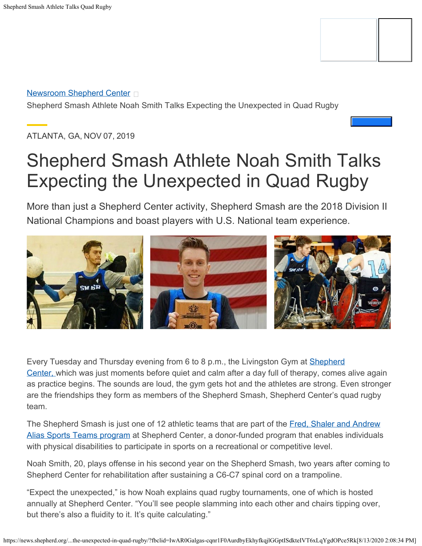

**[Newsroom Shepherd Center](https://news.shepherd.org/)** 

Shepherd Smash Athlete Noah Smith Talks Expecting the Unexpected in Quad Rugby

ATLANTA, GA, NOV 07, 2019

# Shepherd Smash Athlete Noah Smith Talks Expecting the Unexpected in Quad Rugby

More than just a Shepherd Center activity, Shepherd Smash are the 2018 Division II National Champions and boast players with U.S. National team experience.



Every Tuesday and Thursday evening from 6 to 8 p.m., the Livingston Gym at [Shepherd](http://shepherd.org/) [Center,](http://shepherd.org/) which was just moments before quiet and calm after a day full of therapy, comes alive again as practice begins. The sounds are loud, the gym gets hot and the athletes are strong. Even stronger are the friendships they form as members of the Shepherd Smash, Shepherd Center's quad rugby team.

The Shepherd Smash is just one of 12 athletic teams that are part of the [Fred, Shaler and Andrew](http://shepherd.org/sports) [Alias Sports Teams program](http://shepherd.org/sports) at Shepherd Center, a donor-funded program that enables individuals with physical disabilities to participate in sports on a recreational or competitive level.

Noah Smith, 20, plays offense in his second year on the Shepherd Smash, two years after coming to Shepherd Center for rehabilitation after sustaining a C6-C7 spinal cord on a trampoline.

"Expect the unexpected," is how Noah explains quad rugby tournaments, one of which is hosted annually at Shepherd Center. "You'll see people slamming into each other and chairs tipping over, but there's also a fluidity to it. It's quite calculating."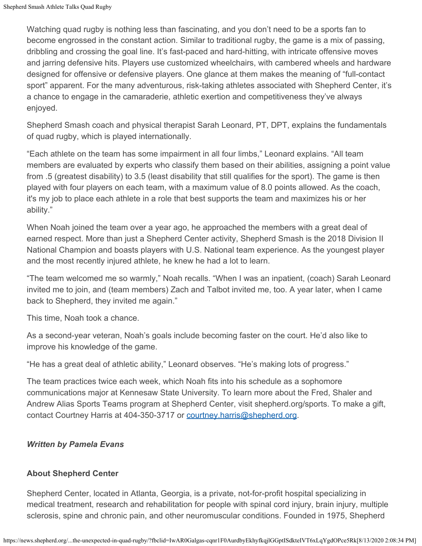Watching quad rugby is nothing less than fascinating, and you don't need to be a sports fan to become engrossed in the constant action. Similar to traditional rugby, the game is a mix of passing, dribbling and crossing the goal line. It's fast-paced and hard-hitting, with intricate offensive moves and jarring defensive hits. Players use customized wheelchairs, with cambered wheels and hardware designed for offensive or defensive players. One glance at them makes the meaning of "full-contact sport" apparent. For the many adventurous, risk-taking athletes associated with Shepherd Center, it's a chance to engage in the camaraderie, athletic exertion and competitiveness they've always enjoyed.

Shepherd Smash coach and physical therapist Sarah Leonard, PT, DPT, explains the fundamentals of quad rugby, which is played internationally.

"Each athlete on the team has some impairment in all four limbs," Leonard explains. "All team members are evaluated by experts who classify them based on their abilities, assigning a point value from .5 (greatest disability) to 3.5 (least disability that still qualifies for the sport). The game is then played with four players on each team, with a maximum value of 8.0 points allowed. As the coach, it's my job to place each athlete in a role that best supports the team and maximizes his or her ability."

When Noah joined the team over a year ago, he approached the members with a great deal of earned respect. More than just a Shepherd Center activity, Shepherd Smash is the 2018 Division II National Champion and boasts players with U.S. National team experience. As the youngest player and the most recently injured athlete, he knew he had a lot to learn.

"The team welcomed me so warmly," Noah recalls. "When I was an inpatient, (coach) Sarah Leonard invited me to join, and (team members) Zach and Talbot invited me, too. A year later, when I came back to Shepherd, they invited me again."

This time, Noah took a chance.

As a second-year veteran, Noah's goals include becoming faster on the court. He'd also like to improve his knowledge of the game.

"He has a great deal of athletic ability," Leonard observes. "He's making lots of progress."

The team practices twice each week, which Noah fits into his schedule as a sophomore communications major at Kennesaw State University. To learn more about the Fred, Shaler and Andrew Alias Sports Teams program at Shepherd Center, visit shepherd.org/sports. To make a gift, contact Courtney Harris at 404-350-3717 or [courtney.harris@shepherd.org.](http://courtney.harris@shepherd.org/)

#### *Written by Pamela Evans*

#### **About Shepherd Center**

Shepherd Center, located in Atlanta, Georgia, is a private, not-for-profit hospital specializing in medical treatment, research and rehabilitation for people with spinal cord injury, brain injury, multiple sclerosis, spine and chronic pain, and other neuromuscular conditions. Founded in 1975, Shepherd